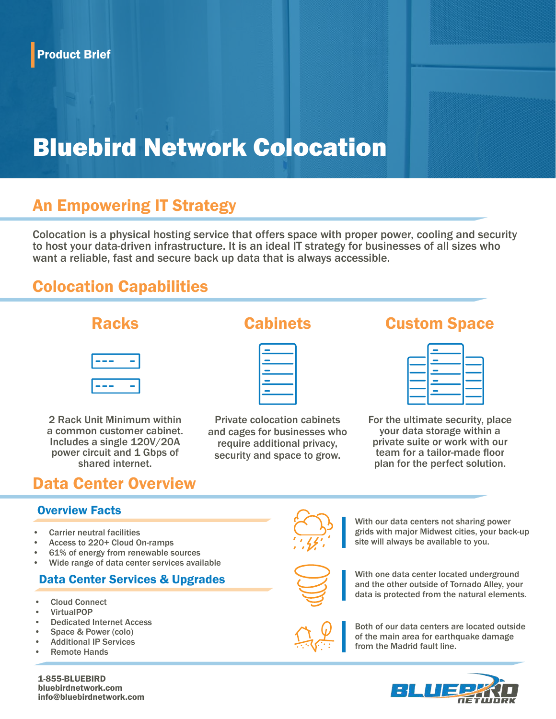# Bluebird Network Colocation

## An Empowering IT Strategy

Colocation is a physical hosting service that offers space with proper power, cooling and security to host your data-driven infrastructure. It is an ideal IT strategy for businesses of all sizes who want a reliable, fast and secure back up data that is always accessible.

## Colocation Capabilities



2 Rack Unit Minimum within a common customer cabinet. Includes a single 120V/20A power circuit and 1 Gbps of shared internet.

Private colocation cabinets and cages for businesses who require additional privacy, security and space to grow.

## Racks Cabinets Custom Space

For the ultimate security, place your data storage within a private suite or work with our team for a tailor-made floor plan for the perfect solution.

## Data Center Overview

#### Overview Facts

- Carrier neutral facilities
- Access to 220+ Cloud On-ramps
- 61% of energy from renewable sources
- Wide range of data center services available

### Data Center Services & Upgrades

- Cloud Connect
- VirtualPOP
- Dedicated Internet Access
- Space & Power (colo)
- Additional IP Services
- Remote Hands



With our data centers not sharing power grids with major Midwest cities, your back-up site will always be available to you.



With one data center located underground and the other outside of Tornado Alley, your data is protected from the natural elements.



Both of our data centers are located outside of the main area for earthquake damage from the Madrid fault line.



1-855-BLUEBIRD bluebirdnetwork.com info@bluebirdnetwork.com